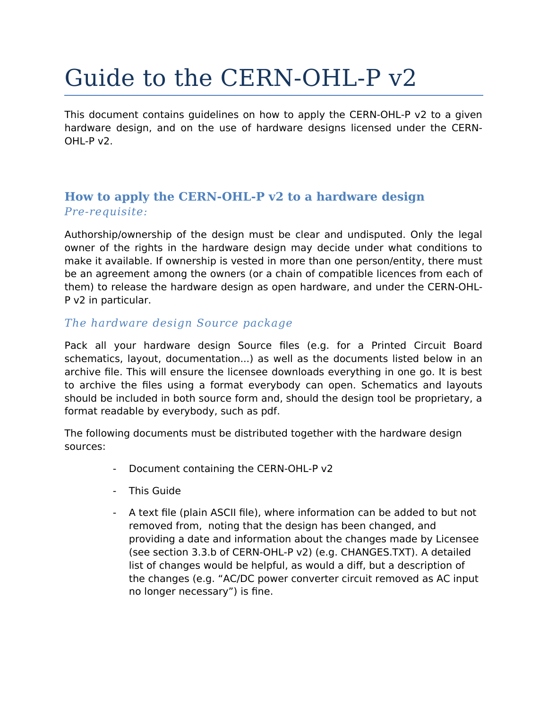# Guide to the CERN-OHL-P v2

This document contains guidelines on how to apply the CERN-OHL-P v2 to a given hardware design, and on the use of hardware designs licensed under the CERN-OHL-P v2.

### **How to apply the CERN-OHL-P v2 to a hardware design** *Pre-requisite:*

Authorship/ownership of the design must be clear and undisputed. Only the legal owner of the rights in the hardware design may decide under what conditions to make it available. If ownership is vested in more than one person/entity, there must be an agreement among the owners (or a chain of compatible licences from each of them) to release the hardware design as open hardware, and under the CERN-OHL-P v2 in particular.

#### *The hardware design Source package*

Pack all your hardware design Source files (e.g. for a Printed Circuit Board schematics, layout, documentation...) as well as the documents listed below in an archive file. This will ensure the licensee downloads everything in one go. It is best to archive the files using a format everybody can open. Schematics and layouts should be included in both source form and, should the design tool be proprietary, a format readable by everybody, such as pdf.

The following documents must be distributed together with the hardware design sources:

- Document containing the CERN-OHL-P v2
- This Guide
- A text file (plain ASCII file), where information can be added to but not removed from, noting that the design has been changed, and providing a date and information about the changes made by Licensee (see section 3.3.b of CERN-OHL-P v2) (e.g. CHANGES.TXT). A detailed list of changes would be helpful, as would a diff, but a description of the changes (e.g. "AC/DC power converter circuit removed as AC input no longer necessary") is fine.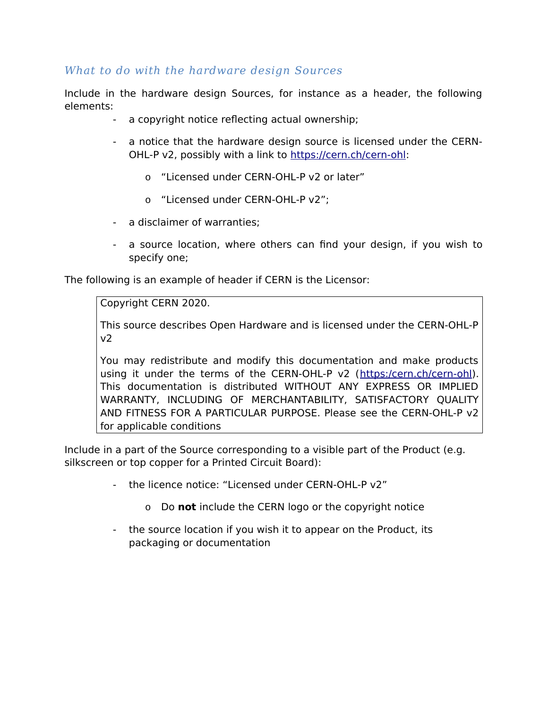#### *What to do with the hardware design Sources*

Include in the hardware design Sources, for instance as a header, the following elements:

- a copyright notice reflecting actual ownership;
- a notice that the hardware design source is licensed under the CERN-OHL-P v2, possibly with a link to [https://cern.ch/cern-ohl:](https://cern.ch/cern-ohl)
	- o "Licensed under CERN-OHL-P v2 or later"
	- o "Licensed under CERN-OHL-P v2";
- a disclaimer of warranties;
- a source location, where others can find your design, if you wish to specify one;

The following is an example of header if CERN is the Licensor:

Copyright CERN 2020.

This source describes Open Hardware and is licensed under the CERN-OHL-P v2

You may redistribute and modify this documentation and make products using it under the terms of the CERN-OHL-P v2 ([https:/cern.ch/cern-ohl\)](./https:%2Fcern.ch%2Fcern-ohl). This documentation is distributed WITHOUT ANY EXPRESS OR IMPLIED WARRANTY, INCLUDING OF MERCHANTABILITY, SATISFACTORY QUALITY AND FITNESS FOR A PARTICULAR PURPOSE. Please see the CERN-OHL-P v2 for applicable conditions

Include in a part of the Source corresponding to a visible part of the Product (e.g. silkscreen or top copper for a Printed Circuit Board):

- the licence notice: "Licensed under CERN-OHL-P v2"
	- o Do **not** include the CERN logo or the copyright notice
- the source location if you wish it to appear on the Product, its packaging or documentation